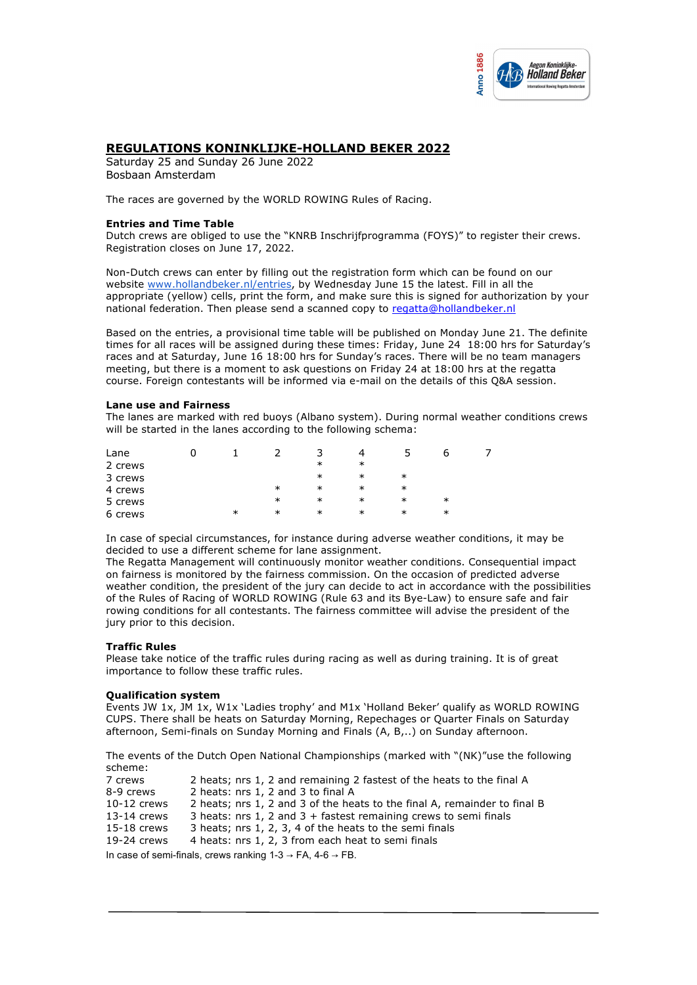

# **REGULATIONS KONINKLIJKE-HOLLAND BEKER 2022**

Saturday 25 and Sunday 26 June 2022 Bosbaan Amsterdam

The races are governed by the WORLD ROWING Rules of Racing.

### **Entries and Time Table**

Dutch crews are obliged to use the "KNRB Inschrijfprogramma (FOYS)" to register their crews. Registration closes on June 17, 2022.

Non-Dutch crews can enter by filling out the registration form which can be found on our website www.hollandbeker.nl/entries, by Wednesday June 15 the latest. Fill in all the appropriate (yellow) cells, print the form, and make sure this is signed for authorization by your national federation. Then please send a scanned copy to regatta@hollandbeker.nl

Based on the entries, a provisional time table will be published on Monday June 21. The definite times for all races will be assigned during these times: Friday, June 24 18:00 hrs for Saturday's races and at Saturday, June 16 18:00 hrs for Sunday's races. There will be no team managers meeting, but there is a moment to ask questions on Friday 24 at 18:00 hrs at the regatta course. Foreign contestants will be informed via e-mail on the details of this Q&A session.

## **Lane use and Fairness**

The lanes are marked with red buoys (Albano system). During normal weather conditions crews will be started in the lanes according to the following schema:

| Lane    |        |        |        | Δ      |        |        |  |
|---------|--------|--------|--------|--------|--------|--------|--|
| 2 crews |        |        | $\ast$ | ∗      |        |        |  |
| 3 crews |        |        | ∗      | $\ast$ | ∗      |        |  |
| 4 crews |        | $\ast$ | $\ast$ | $\ast$ | $\ast$ |        |  |
| 5 crews |        | $\ast$ | $\ast$ | ∗      | $\ast$ | $\ast$ |  |
| 6 crews | $\ast$ | $\ast$ | $\ast$ | ∗      | $\ast$ | $\ast$ |  |

In case of special circumstances, for instance during adverse weather conditions, it may be decided to use a different scheme for lane assignment.

The Regatta Management will continuously monitor weather conditions. Consequential impact on fairness is monitored by the fairness commission. On the occasion of predicted adverse weather condition, the president of the jury can decide to act in accordance with the possibilities of the Rules of Racing of WORLD ROWING (Rule 63 and its Bye-Law) to ensure safe and fair rowing conditions for all contestants. The fairness committee will advise the president of the jury prior to this decision.

## **Traffic Rules**

Please take notice of the traffic rules during racing as well as during training. It is of great importance to follow these traffic rules.

## **Qualification system**

Events JW 1x, JM 1x, W1x 'Ladies trophy' and M1x 'Holland Beker' qualify as WORLD ROWING CUPS. There shall be heats on Saturday Morning, Repechages or Quarter Finals on Saturday afternoon, Semi-finals on Sunday Morning and Finals (A, B,..) on Sunday afternoon.

The events of the Dutch Open National Championships (marked with "(NK)"use the following scheme:

| 7 crews                                                                             | 2 heats; nrs 1, 2 and remaining 2 fastest of the heats to the final A     |  |  |  |  |
|-------------------------------------------------------------------------------------|---------------------------------------------------------------------------|--|--|--|--|
| 8-9 crews                                                                           | 2 heats: nrs 1, 2 and 3 to final A                                        |  |  |  |  |
| $10-12$ crews                                                                       | 2 heats; nrs 1, 2 and 3 of the heats to the final A, remainder to final B |  |  |  |  |
| $13-14$ crews                                                                       | 3 heats: nrs 1, 2 and 3 + fastest remaining crews to semi finals          |  |  |  |  |
| $15-18$ crews                                                                       | 3 heats; nrs 1, 2, 3, 4 of the heats to the semi finals                   |  |  |  |  |
| 19-24 crews                                                                         | 4 heats: nrs 1, 2, 3 from each heat to semi finals                        |  |  |  |  |
| In case of semi-finals, crews ranking $1-3 \rightarrow FA$ , $4-6 \rightarrow FB$ . |                                                                           |  |  |  |  |